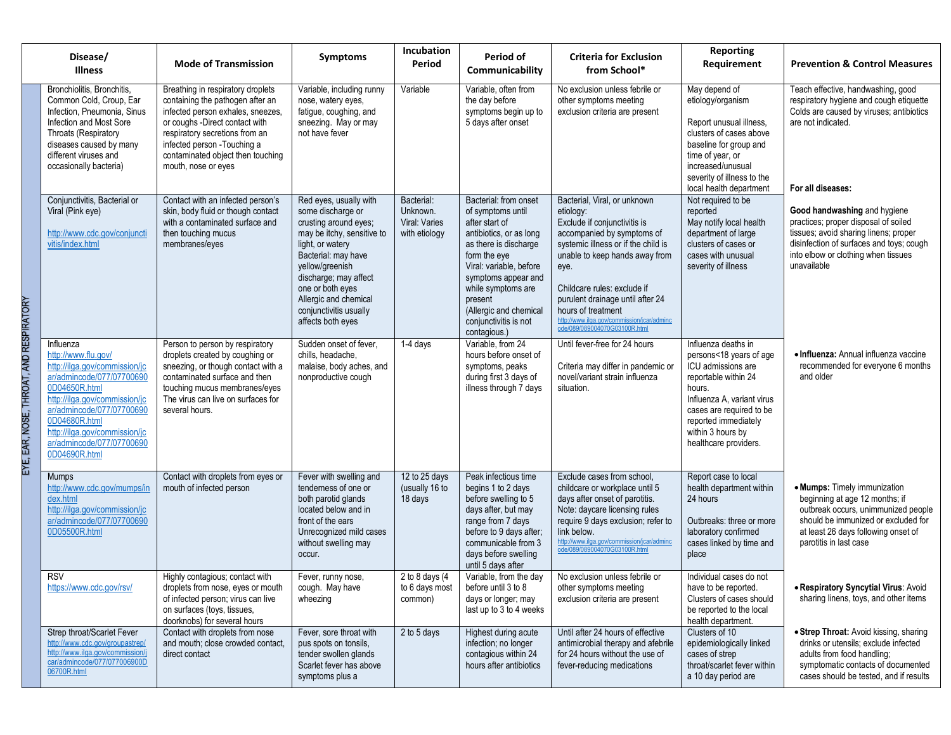| Disease/<br><b>Illness</b>                                                                                                                                                                                                                                                    | <b>Mode of Transmission</b>                                                                                                                                                                                                                                                | <b>Symptoms</b>                                                                                                                                                                                                                                                                       | Incubation<br>Period                                     | Period of<br>Communicability                                                                                                                                                                                                                                                           | <b>Criteria for Exclusion</b><br>from School*                                                                                                                                                                                                                                                                                                                    | Reporting<br>Requirement                                                                                                                                                                                                               | <b>Prevention &amp; Control Measures</b>                                                                                                                                                                        |
|-------------------------------------------------------------------------------------------------------------------------------------------------------------------------------------------------------------------------------------------------------------------------------|----------------------------------------------------------------------------------------------------------------------------------------------------------------------------------------------------------------------------------------------------------------------------|---------------------------------------------------------------------------------------------------------------------------------------------------------------------------------------------------------------------------------------------------------------------------------------|----------------------------------------------------------|----------------------------------------------------------------------------------------------------------------------------------------------------------------------------------------------------------------------------------------------------------------------------------------|------------------------------------------------------------------------------------------------------------------------------------------------------------------------------------------------------------------------------------------------------------------------------------------------------------------------------------------------------------------|----------------------------------------------------------------------------------------------------------------------------------------------------------------------------------------------------------------------------------------|-----------------------------------------------------------------------------------------------------------------------------------------------------------------------------------------------------------------|
| Bronchiolitis, Bronchitis,<br>Common Cold, Croup, Ear<br>Infection, Pneumonia, Sinus<br>Infection and Most Sore<br>Throats (Respiratory<br>diseases caused by many<br>different viruses and<br>occasionally bacteria)                                                         | Breathing in respiratory droplets<br>containing the pathogen after an<br>infected person exhales, sneezes,<br>or coughs -Direct contact with<br>respiratory secretions from an<br>infected person - Touching a<br>contaminated object then touching<br>mouth, nose or eyes | Variable, including runny<br>nose, watery eyes,<br>fatigue, coughing, and<br>sneezing. May or may<br>not have fever                                                                                                                                                                   | Variable                                                 | Variable, often from<br>the day before<br>symptoms begin up to<br>5 days after onset                                                                                                                                                                                                   | No exclusion unless febrile or<br>other symptoms meeting<br>exclusion criteria are present                                                                                                                                                                                                                                                                       | May depend of<br>etiology/organism<br>Report unusual illness.<br>clusters of cases above<br>baseline for group and<br>time of year, or<br>increased/unusual<br>severity of illness to the<br>local health department                   | Teach effective, handwashing, good<br>respiratory hygiene and cough etiquette<br>Colds are caused by viruses; antibiotics<br>are not indicated.<br>For all diseases:                                            |
| Conjunctivitis, Bacterial or<br>Viral (Pink eye)<br>http://www.cdc.gov/conjuncti<br>vitis/index.html                                                                                                                                                                          | Contact with an infected person's<br>skin, body fluid or though contact<br>with a contaminated surface and<br>then touching mucus<br>membranes/eyes                                                                                                                        | Red eyes, usually with<br>some discharge or<br>crusting around eyes;<br>may be itchy, sensitive to<br>light, or watery<br>Bacterial: may have<br>yellow/greenish<br>discharge; may affect<br>one or both eyes<br>Allergic and chemical<br>conjunctivitis usually<br>affects both eyes | Bacterial:<br>Unknown.<br>Viral: Varies<br>with etiology | Bacterial: from onset<br>of symptoms until<br>after start of<br>antibiotics, or as long<br>as there is discharge<br>form the eye<br>Viral: variable, before<br>symptoms appear and<br>while symptoms are<br>present<br>(Allergic and chemical<br>conjunctivitis is not<br>contagious.) | Bacterial, Viral, or unknown<br>etiology:<br>Exclude if conjunctivitis is<br>accompanied by symptoms of<br>systemic illness or if the child is<br>unable to keep hands away from<br>eye.<br>Childcare rules: exclude if<br>purulent drainage until after 24<br>hours of treatment<br>http://www.ilga.gov/commission/jcar/adminc<br>ode/089/089004070G03100R.html | Not required to be<br>reported<br>May notify local health<br>department of large<br>clusters of cases or<br>cases with unusual<br>severity of illness                                                                                  | Good handwashing and hygiene<br>practices; proper disposal of soiled<br>tissues; avoid sharing linens; proper<br>disinfection of surfaces and toys; cough<br>into elbow or clothing when tissues<br>unavailable |
| Influenza<br>http://www.flu.gov/<br>http://ilga.gov/commission/jc<br>ar/admincode/077/07700690<br>0D04650R.html<br>http://ilga.gov/commission/jc<br>ar/admincode/077/07700690<br>0D04680R.html<br>http://ilga.gov/commission/jc<br>ar/admincode/077/07700690<br>0D04690R.html | Person to person by respiratory<br>droplets created by coughing or<br>sneezing, or though contact with a<br>contaminated surface and then<br>touching mucus membranes/eyes<br>The virus can live on surfaces for<br>several hours.                                         | Sudden onset of fever,<br>chills, headache,<br>malaise, body aches, and<br>nonproductive cough                                                                                                                                                                                        | 1-4 days                                                 | Variable, from 24<br>hours before onset of<br>symptoms, peaks<br>during first 3 days of<br>illness through 7 days                                                                                                                                                                      | Until fever-free for 24 hours<br>Criteria may differ in pandemic or<br>novel/variant strain influenza<br>situation.                                                                                                                                                                                                                                              | Influenza deaths in<br>persons<18 years of age<br>ICU admissions are<br>reportable within 24<br>hours.<br>Influenza A, variant virus<br>cases are required to be<br>reported immediately<br>within 3 hours by<br>healthcare providers. | • Influenza: Annual influenza vaccine<br>recommended for everyone 6 months<br>and older                                                                                                                         |
| <b>Mumps</b><br>http://www.cdc.gov/mumps/in<br>dex.html<br>http://ilga.gov/commission/jc<br>ar/admincode/077/07700690<br>0D05500R.html                                                                                                                                        | Contact with droplets from eyes or<br>mouth of infected person                                                                                                                                                                                                             | Fever with swelling and<br>tenderness of one or<br>both parotid glands<br>located below and in<br>front of the ears<br>Unrecognized mild cases<br>without swelling may<br>occur.                                                                                                      | 12 to 25 days<br>(usually 16 to<br>18 days               | Peak infectious time<br>begins 1 to 2 days<br>before swelling to 5<br>days after, but may<br>range from 7 days<br>before to 9 days after;<br>communicable from 3<br>days before swelling<br>until 5 days after                                                                         | Exclude cases from school,<br>childcare or workplace until 5<br>days after onset of parotitis.<br>Note: daycare licensing rules<br>require 9 days exclusion; refer to<br>link below.<br>http://www.ilga.gov/commission/jcar/adminc<br>ode/089/089004070G03100R.html                                                                                              | Report case to local<br>health department within<br>24 hours<br>Outbreaks: three or more<br>laboratory confirmed<br>cases linked by time and<br>place                                                                                  | • Mumps: Timely immunization<br>beginning at age 12 months; if<br>outbreak occurs, unimmunized people<br>should be immunized or excluded for<br>at least 26 days following onset of<br>parotitis in last case   |
| <b>RSV</b><br>https://www.cdc.gov/rsv/                                                                                                                                                                                                                                        | Highly contagious; contact with<br>droplets from nose, eyes or mouth<br>of infected person; virus can live<br>on surfaces (toys, tissues,<br>doorknobs) for several hours                                                                                                  | Fever, runny nose,<br>cough. May have<br>wheezing                                                                                                                                                                                                                                     | $\overline{2}$ to 8 days (4<br>to 6 days most<br>common) | Variable, from the day<br>before until 3 to 8<br>days or longer; may<br>last up to 3 to 4 weeks                                                                                                                                                                                        | No exclusion unless febrile or<br>other symptoms meeting<br>exclusion criteria are present                                                                                                                                                                                                                                                                       | Individual cases do not<br>have to be reported.<br>Clusters of cases should<br>be reported to the local<br>health department.                                                                                                          | . Respiratory Syncytial Virus: Avoid<br>sharing linens, toys, and other items                                                                                                                                   |
| Strep throat/Scarlet Fever<br>http://www.cdc.gov/groupastrep/<br>http://www.ilga.gov/commission/<br>car/admincode/077/077006900D<br>06700R.html                                                                                                                               | Contact with droplets from nose<br>and mouth; close crowded contact,<br>direct contact                                                                                                                                                                                     | Fever, sore throat with<br>pus spots on tonsils,<br>tender swollen glands<br>Scarlet fever has above<br>symptoms plus a                                                                                                                                                               | 2 to 5 days                                              | Highest during acute<br>infection; no longer<br>contagious within 24<br>hours after antibiotics                                                                                                                                                                                        | Until after 24 hours of effective<br>antimicrobial therapy and afebrile<br>for 24 hours without the use of<br>fever-reducing medications                                                                                                                                                                                                                         | Clusters of 10<br>epidemiologically linked<br>cases of strep<br>throat/scarlet fever within<br>a 10 day period are                                                                                                                     | • Strep Throat: Avoid kissing, sharing<br>drinks or utensils; exclude infected<br>adults from food handling;<br>symptomatic contacts of documented<br>cases should be tested, and if results                    |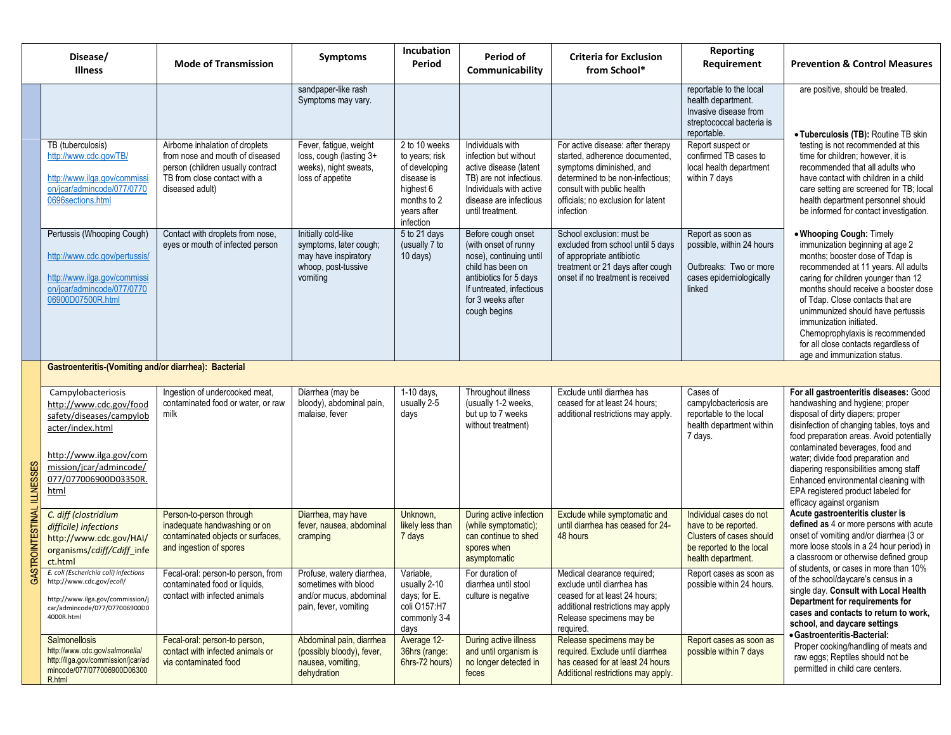|                        | Disease/<br><b>Illness</b>                                                                                                                                                           | <b>Mode of Transmission</b>                                                                                                                                | <b>Symptoms</b>                                                                                          | Incubation<br>Period                                                                                                   | Period of<br>Communicability                                                                                                                                                          | <b>Criteria for Exclusion</b><br>from School*                                                                                                                                                                        | <b>Reporting</b><br>Requirement                                                                                               | <b>Prevention &amp; Control Measures</b>                                                                                                                                                                                                                                                                                                                                                                                                |  |  |
|------------------------|--------------------------------------------------------------------------------------------------------------------------------------------------------------------------------------|------------------------------------------------------------------------------------------------------------------------------------------------------------|----------------------------------------------------------------------------------------------------------|------------------------------------------------------------------------------------------------------------------------|---------------------------------------------------------------------------------------------------------------------------------------------------------------------------------------|----------------------------------------------------------------------------------------------------------------------------------------------------------------------------------------------------------------------|-------------------------------------------------------------------------------------------------------------------------------|-----------------------------------------------------------------------------------------------------------------------------------------------------------------------------------------------------------------------------------------------------------------------------------------------------------------------------------------------------------------------------------------------------------------------------------------|--|--|
|                        |                                                                                                                                                                                      |                                                                                                                                                            | sandpaper-like rash<br>Symptoms may vary.                                                                |                                                                                                                        |                                                                                                                                                                                       |                                                                                                                                                                                                                      | reportable to the local<br>health department.<br>Invasive disease from<br>streptococcal bacteria is<br>reportable.            | are positive, should be treated.<br>• Tuberculosis (TB): Routine TB skin                                                                                                                                                                                                                                                                                                                                                                |  |  |
|                        | TB (tuberculosis)<br>http://www.cdc.gov/TB/<br>http://www.ilga.gov/commissi<br>on/jcar/admincode/077/0770<br>0696sections.html                                                       | Airborne inhalation of droplets<br>from nose and mouth of diseased<br>person (children usually contract<br>TB from close contact with a<br>diseased adult) | Fever, fatigue, weight<br>loss, cough (lasting 3+<br>weeks), night sweats,<br>loss of appetite           | 2 to 10 weeks<br>to years; risk<br>of developing<br>disease is<br>highest 6<br>months to 2<br>years after<br>infection | Individuals with<br>infection but without<br>active disease (latent<br>TB) are not infectious.<br>Individuals with active<br>disease are infectious<br>until treatment.               | For active disease: after therapy<br>started, adherence documented,<br>symptoms diminished, and<br>determined to be non-infectious;<br>consult with public health<br>officials; no exclusion for latent<br>infection | Report suspect or<br>confirmed TB cases to<br>local health department<br>within 7 days                                        | testing is not recommended at this<br>time for children; however, it is<br>recommended that all adults who<br>have contact with children in a child<br>care setting are screened for TB; local<br>health department personnel should<br>be informed for contact investigation.                                                                                                                                                          |  |  |
|                        | Pertussis (Whooping Cough)<br>http://www.cdc.gov/pertussis/<br>http://www.ilga.gov/commissi<br>on/jcar/admincode/077/0770<br>06900D07500R.html                                       | Contact with droplets from nose,<br>eyes or mouth of infected person                                                                                       | Initially cold-like<br>symptoms, later cough;<br>may have inspiratory<br>whoop, post-tussive<br>vomiting | 5 to 21 days<br>(usually 7 to<br>10 days)                                                                              | Before cough onset<br>(with onset of runny<br>nose), continuing until<br>child has been on<br>antibiotics for 5 days<br>If untreated, infectious<br>for 3 weeks after<br>cough begins | School exclusion: must be<br>excluded from school until 5 days<br>of appropriate antibiotic<br>treatment or 21 days after cough<br>onset if no treatment is received                                                 | Report as soon as<br>possible, within 24 hours<br>Outbreaks: Two or more<br>cases epidemiologically<br>linked                 | . Whooping Cough: Timely<br>immunization beginning at age 2<br>months; booster dose of Tdap is<br>recommended at 11 years. All adults<br>caring for children younger than 12<br>months should receive a booster dose<br>of Tdap. Close contacts that are<br>unimmunized should have pertussis<br>immunization initiated.<br>Chemoprophylaxis is recommended<br>for all close contacts regardless of<br>age and immunization status.     |  |  |
|                        | Gastroenteritis-(Vomiting and/or diarrhea): Bacterial                                                                                                                                |                                                                                                                                                            |                                                                                                          |                                                                                                                        |                                                                                                                                                                                       |                                                                                                                                                                                                                      |                                                                                                                               |                                                                                                                                                                                                                                                                                                                                                                                                                                         |  |  |
| <b>ILLNESSES</b>       | Campylobacteriosis<br>http://www.cdc.gov/food<br>safety/diseases/campylob<br>acter/index.html<br>http://www.ilga.gov/com<br>mission/jcar/admincode/<br>077/077006900D03350R.<br>html | Ingestion of undercooked meat,<br>contaminated food or water, or raw<br>milk                                                                               | Diarrhea (may be<br>bloody), abdominal pain,<br>malaise, fever                                           | 1-10 days,<br>usually 2-5<br>days                                                                                      | Throughout illness<br>(usually 1-2 weeks,<br>but up to 7 weeks<br>without treatment)                                                                                                  | Exclude until diarrhea has<br>ceased for at least 24 hours;<br>additional restrictions may apply.                                                                                                                    | Cases of<br>campylobacteriosis are<br>reportable to the local<br>health department within<br>7 days.                          | For all gastroenteritis diseases: Good<br>handwashing and hygiene; proper<br>disposal of dirty diapers; proper<br>disinfection of changing tables, toys and<br>food preparation areas. Avoid potentially<br>contaminated beverages, food and<br>water; divide food preparation and<br>diapering responsibilities among staff<br>Enhanced environmental cleaning with<br>EPA registered product labeled for<br>efficacy against organism |  |  |
| <b>ASTROINTESTINAL</b> | C. diff (clostridium<br>difficile) infections<br>http://www.cdc.gov/HAI/<br>organisms/cdiff/Cdiff_infe<br>ct.html                                                                    | Person-to-person through<br>inadequate handwashing or on<br>contaminated objects or surfaces,<br>and ingestion of spores                                   | Diarrhea, may have<br>fever, nausea, abdominal<br>cramping                                               | Unknown,<br>likely less than<br>7 days                                                                                 | During active infection<br>(while symptomatic);<br>can continue to shed<br>spores when<br>asymptomatic                                                                                | Exclude while symptomatic and<br>until diarrhea has ceased for 24-<br>48 hours                                                                                                                                       | Individual cases do not<br>have to be reported.<br>Clusters of cases should<br>be reported to the local<br>health department. | Acute gastroenteritis cluster is<br>defined as 4 or more persons with acute<br>onset of vomiting and/or diarrhea (3 or<br>more loose stools in a 24 hour period) in<br>a classroom or otherwise defined group                                                                                                                                                                                                                           |  |  |
|                        | E. coli (Escherichia coli) infections<br>http://www.cdc.gov/ecoli/<br>http://www.ilga.gov/commission/j<br>car/admincode/077/077006900D0<br>4000R.html                                | Fecal-oral: person-to person, from<br>contaminated food or liquids,<br>contact with infected animals                                                       | Profuse, watery diarrhea,<br>sometimes with blood<br>and/or mucus, abdominal<br>pain, fever, vomiting    | Variable,<br>usually 2-10<br>days; for E.<br>coli O157:H7<br>commonly 3-4<br>days                                      | For duration of<br>diarrhea until stool<br>culture is negative                                                                                                                        | Medical clearance required;<br>exclude until diarrhea has<br>ceased for at least 24 hours;<br>additional restrictions may apply<br>Release specimens may be<br>required.                                             | Report cases as soon as<br>possible within 24 hours.                                                                          | of students, or cases in more than 10%<br>of the school/daycare's census in a<br>single day. Consult with Local Health<br>Department for requirements for<br>cases and contacts to return to work,<br>school, and daycare settings<br>• Gastroenteritis-Bacterial:                                                                                                                                                                      |  |  |
|                        | Salmonellosis<br>http://www.cdc.gov/salmonella/<br>http://ilga.gov/commission/jcar/ad<br>mincode/077/077006900D06300<br>R.html                                                       | Fecal-oral: person-to person,<br>contact with infected animals or<br>via contaminated food                                                                 | Abdominal pain, diarrhea<br>(possibly bloody), fever,<br>nausea, vomiting,<br>dehydration                | Average 12-<br>36hrs (range:<br>6hrs-72 hours)                                                                         | During active illness<br>and until organism is<br>no longer detected in<br>feces                                                                                                      | Release specimens may be<br>required. Exclude until diarrhea<br>has ceased for at least 24 hours<br>Additional restrictions may apply.                                                                               | Report cases as soon as<br>possible within 7 days                                                                             | Proper cooking/handling of meats and<br>raw eggs; Reptiles should not be<br>permitted in child care centers.                                                                                                                                                                                                                                                                                                                            |  |  |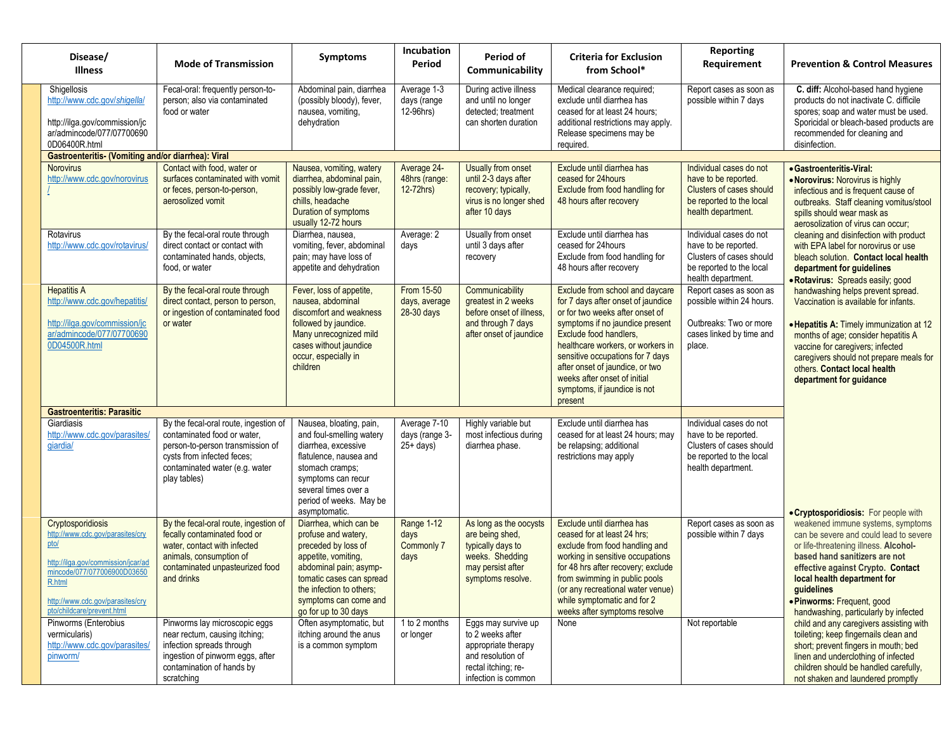| Disease/<br><b>Illness</b>                                                                                                                                                                                     | <b>Mode of Transmission</b>                                                                                                                                                              | Symptoms                                                                                                                                                                                                                       | Incubation<br>Period                            | Period of<br>Communicability                                                                                                      | <b>Criteria for Exclusion</b><br>from School*                                                                                                                                                                                                                                                                                                                | <b>Reporting</b><br>Requirement                                                                                                      | <b>Prevention &amp; Control Measures</b>                                                                                                                                                                                                                                                                       |
|----------------------------------------------------------------------------------------------------------------------------------------------------------------------------------------------------------------|------------------------------------------------------------------------------------------------------------------------------------------------------------------------------------------|--------------------------------------------------------------------------------------------------------------------------------------------------------------------------------------------------------------------------------|-------------------------------------------------|-----------------------------------------------------------------------------------------------------------------------------------|--------------------------------------------------------------------------------------------------------------------------------------------------------------------------------------------------------------------------------------------------------------------------------------------------------------------------------------------------------------|--------------------------------------------------------------------------------------------------------------------------------------|----------------------------------------------------------------------------------------------------------------------------------------------------------------------------------------------------------------------------------------------------------------------------------------------------------------|
| Shigellosis<br>http://www.cdc.gov/shigella/<br>http://ilga.gov/commission/jc<br>ar/admincode/077/07700690<br>0D06400R.html                                                                                     | Fecal-oral: frequently person-to-<br>person; also via contaminated<br>food or water                                                                                                      | Abdominal pain, diarrhea<br>(possibly bloody), fever,<br>nausea, vomiting,<br>dehydration                                                                                                                                      | Average 1-3<br>days (range<br>12-96hrs)         | During active illness<br>and until no longer<br>detected; treatment<br>can shorten duration                                       | Medical clearance required;<br>exclude until diarrhea has<br>ceased for at least 24 hours;<br>additional restrictions may apply.<br>Release specimens may be<br>required.                                                                                                                                                                                    | Report cases as soon as<br>possible within 7 days                                                                                    | C. diff: Alcohol-based hand hygiene<br>products do not inactivate C. difficile<br>spores; soap and water must be used.<br>Sporicidal or bleach-based products are<br>recommended for cleaning and<br>disinfection.                                                                                             |
| Gastroenteritis- (Vomiting and/or diarrhea): Viral                                                                                                                                                             |                                                                                                                                                                                          |                                                                                                                                                                                                                                |                                                 |                                                                                                                                   |                                                                                                                                                                                                                                                                                                                                                              |                                                                                                                                      |                                                                                                                                                                                                                                                                                                                |
| <b>Norovirus</b><br>http://www.cdc.gov/norovirus                                                                                                                                                               | Contact with food, water or<br>surfaces contaminated with vomit<br>or feces, person-to-person,<br>aerosolized vomit                                                                      | Nausea, vomiting, watery<br>diarrhea, abdominal pain,<br>possibly low-grade fever,<br>chills, headache<br>Duration of symptoms<br>usually 12-72 hours                                                                          | Average 24-<br>48hrs (range:<br>$12-72hrs$      | Usually from onset<br>until 2-3 days after<br>recovery; typically,<br>virus is no longer shed<br>after 10 days                    | Exclude until diarrhea has<br>ceased for 24hours<br>Exclude from food handling for<br>48 hours after recovery                                                                                                                                                                                                                                                | Individual cases do not<br>have to be reported.<br><b>Clusters of cases should</b><br>be reported to the local<br>health department. | • Gastroenteritis-Viral:<br>. Norovirus: Norovirus is highly<br>infectious and is frequent cause of<br>outbreaks. Staff cleaning vomitus/stool<br>spills should wear mask as<br>aerosolization of virus can occur;                                                                                             |
| Rotavirus<br>http://www.cdc.gov/rotavirus/                                                                                                                                                                     | By the fecal-oral route through<br>direct contact or contact with<br>contaminated hands, objects,<br>food, or water                                                                      | Diarrhea, nausea,<br>vomiting, fever, abdominal<br>pain; may have loss of<br>appetite and dehydration                                                                                                                          | Average: 2<br>days                              | Usually from onset<br>until 3 days after<br>recovery                                                                              | Exclude until diarrhea has<br>ceased for 24hours<br>Exclude from food handling for<br>48 hours after recovery                                                                                                                                                                                                                                                | Individual cases do not<br>have to be reported.<br>Clusters of cases should<br>be reported to the local<br>health department.        | cleaning and disinfection with product<br>with EPA label for norovirus or use<br>bleach solution. Contact local health<br>department for guidelines<br>· Rotavirus: Spreads easily; good                                                                                                                       |
| <b>Hepatitis A</b><br>http://www.cdc.gov/hepatitis/<br>http://ilga.gov/commission/jc<br>ar/admincode/077/07700690<br>0D04500R.html                                                                             | By the fecal-oral route through<br>direct contact, person to person,<br>or ingestion of contaminated food<br>or water                                                                    | Fever, loss of appetite,<br>nausea, abdominal<br>discomfort and weakness<br>followed by jaundice.<br>Many unrecognized mild<br>cases without jaundice<br>occur, especially in<br>children                                      | From 15-50<br>days, average<br>28-30 days       | Communicability<br>greatest in 2 weeks<br>before onset of illness.<br>and through 7 days<br>after onset of jaundice               | Exclude from school and daycare<br>for 7 days after onset of jaundice<br>or for two weeks after onset of<br>symptoms if no jaundice present<br>Exclude food handlers,<br>healthcare workers, or workers in<br>sensitive occupations for 7 days<br>after onset of jaundice, or two<br>weeks after onset of initial<br>symptoms, if jaundice is not<br>present | Report cases as soon as<br>possible within 24 hours.<br>Outbreaks: Two or more<br>cases linked by time and<br>place.                 | handwashing helps prevent spread.<br>Vaccination is available for infants.<br>• Hepatitis A: Timely immunization at 12<br>months of age; consider hepatitis A<br>vaccine for caregivers; infected<br>caregivers should not prepare meals for<br>others. Contact local health<br>department for quidance        |
| <b>Gastroenteritis: Parasitic</b>                                                                                                                                                                              |                                                                                                                                                                                          |                                                                                                                                                                                                                                |                                                 |                                                                                                                                   |                                                                                                                                                                                                                                                                                                                                                              |                                                                                                                                      |                                                                                                                                                                                                                                                                                                                |
| Giardiasis<br>http://www.cdc.gov/parasites/<br>qiardia/                                                                                                                                                        | By the fecal-oral route, ingestion of<br>contaminated food or water,<br>person-to-person transmission of<br>cysts from infected feces;<br>contaminated water (e.g. water<br>play tables) | Nausea, bloating, pain,<br>and foul-smelling watery<br>diarrhea, excessive<br>flatulence, nausea and<br>stomach cramps;<br>symptoms can recur<br>several times over a<br>period of weeks. May be<br>asymptomatic.              | Average 7-10<br>days (range 3-<br>$25 + days$   | Highly variable but<br>most infectious during<br>diarrhea phase.                                                                  | Exclude until diarrhea has<br>ceased for at least 24 hours; may<br>be relapsing; additional<br>restrictions may apply                                                                                                                                                                                                                                        | Individual cases do not<br>have to be reported.<br>Clusters of cases should<br>be reported to the local<br>health department.        | • Cryptosporidiosis: For people with                                                                                                                                                                                                                                                                           |
| Cryptosporidiosis<br>http://www.cdc.gov/parasites/cry<br>pto/<br>http://ilga.gov/commission/jcar/ad<br>mincode/077/077006900D03650<br>R.html<br>http://www.cdc.gov/parasites/cry<br>pto/childcare/prevent.html | By the fecal-oral route, ingestion of<br>fecally contaminated food or<br>water, contact with infected<br>animals, consumption of<br>contaminated unpasteurized food<br>and drinks        | Diarrhea, which can be<br>profuse and watery,<br>preceded by loss of<br>appetite, vomiting,<br>abdominal pain; asymp-<br>tomatic cases can spread<br>the infection to others;<br>symptoms can come and<br>go for up to 30 days | Range 1-12<br>days<br><b>Commonly 7</b><br>days | As long as the oocysts<br>are being shed,<br>typically days to<br>weeks. Shedding<br>may persist after<br>symptoms resolve.       | Exclude until diarrhea has<br>ceased for at least 24 hrs;<br>exclude from food handling and<br>working in sensitive occupations<br>for 48 hrs after recovery; exclude<br>from swimming in public pools<br>(or any recreational water venue)<br>while symptomatic and for 2<br>weeks after symptoms resolve                                                   | Report cases as soon as<br>possible within 7 days                                                                                    | weakened immune systems, symptoms<br>can be severe and could lead to severe<br>or life-threatening illness. Alcohol-<br>based hand sanitizers are not<br>effective against Crypto. Contact<br>local health department for<br>guidelines<br>· Pinworms: Frequent, good<br>handwashing, particularly by infected |
| Pinworms (Enterobius<br>vermicularis)<br>http://www.cdc.gov/parasites/<br>pinworm/                                                                                                                             | Pinworms lay microscopic eggs<br>near rectum, causing itching;<br>infection spreads through<br>ingestion of pinworm eggs, after<br>contamination of hands by<br>scratching               | Often asymptomatic, but<br>itching around the anus<br>is a common symptom                                                                                                                                                      | 1 to 2 months<br>or longer                      | Eggs may survive up<br>to 2 weeks after<br>appropriate therapy<br>and resolution of<br>rectal itching; re-<br>infection is common | None                                                                                                                                                                                                                                                                                                                                                         | Not reportable                                                                                                                       | child and any caregivers assisting with<br>toileting; keep fingernails clean and<br>short; prevent fingers in mouth; bed<br>linen and underclothing of infected<br>children should be handled carefully,<br>not shaken and laundered promptly                                                                  |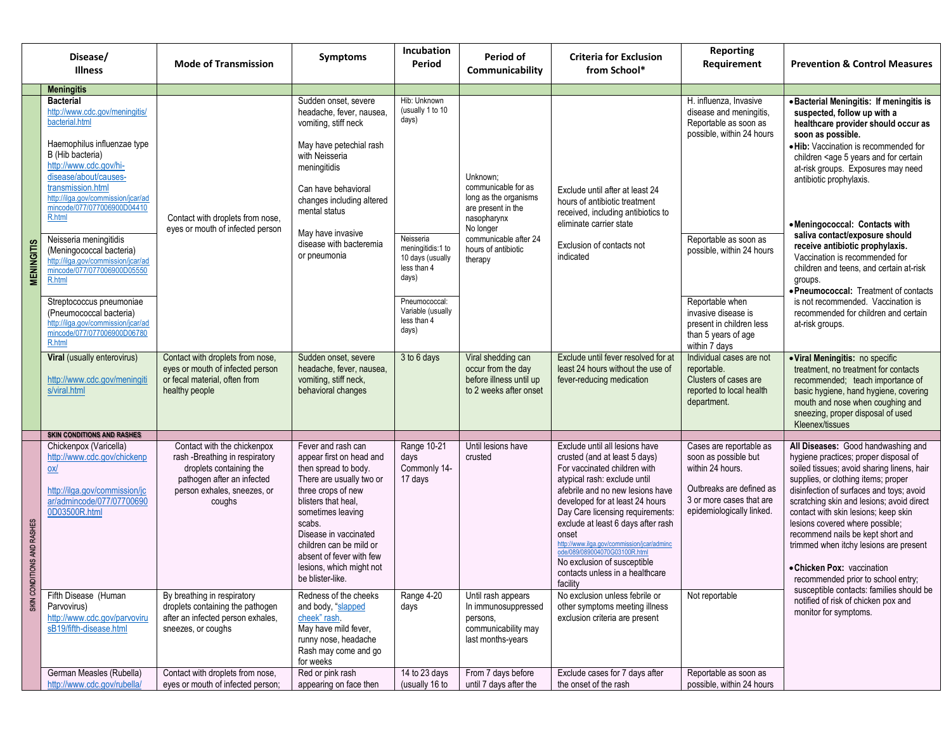|                            | Disease/<br>Illness                                                                                                                                                                                                                                                            | <b>Mode of Transmission</b>                                                                                                                                     | <b>Symptoms</b>                                                                                                                                                                                                                                                                                                | Incubation<br>Period                                                                        | Period of<br>Communicability                                                                               | <b>Criteria for Exclusion</b><br>from School*                                                                                                                                                                                                                                                                                                                                                                                                          | <b>Reporting</b><br>Requirement                                                                                                                          | <b>Prevention &amp; Control Measures</b>                                                                                                                                                                                                                                                                                                                                                                                                                                                                                            |
|----------------------------|--------------------------------------------------------------------------------------------------------------------------------------------------------------------------------------------------------------------------------------------------------------------------------|-----------------------------------------------------------------------------------------------------------------------------------------------------------------|----------------------------------------------------------------------------------------------------------------------------------------------------------------------------------------------------------------------------------------------------------------------------------------------------------------|---------------------------------------------------------------------------------------------|------------------------------------------------------------------------------------------------------------|--------------------------------------------------------------------------------------------------------------------------------------------------------------------------------------------------------------------------------------------------------------------------------------------------------------------------------------------------------------------------------------------------------------------------------------------------------|----------------------------------------------------------------------------------------------------------------------------------------------------------|-------------------------------------------------------------------------------------------------------------------------------------------------------------------------------------------------------------------------------------------------------------------------------------------------------------------------------------------------------------------------------------------------------------------------------------------------------------------------------------------------------------------------------------|
|                            | <b>Meningitis</b>                                                                                                                                                                                                                                                              |                                                                                                                                                                 |                                                                                                                                                                                                                                                                                                                |                                                                                             |                                                                                                            |                                                                                                                                                                                                                                                                                                                                                                                                                                                        |                                                                                                                                                          |                                                                                                                                                                                                                                                                                                                                                                                                                                                                                                                                     |
|                            | <b>Bacterial</b><br>http://www.cdc.gov/meningitis/<br>bacterial.html<br>Haemophilus influenzae type<br>B (Hib bacteria)<br>http://www.cdc.gov/hi-<br>disease/about/causes-<br>transmission.html<br>http://ilga.gov/commission/jcar/ad<br>mincode/077/077006900D04410<br>R.html | Contact with droplets from nose,<br>eyes or mouth of infected person                                                                                            | Sudden onset, severe<br>headache, fever, nausea,<br>vomiting, stiff neck<br>May have petechial rash<br>with Neisseria<br>meningitidis<br>Can have behavioral<br>changes including altered<br>mental status<br>May have invasive                                                                                | Hib: Unknown<br>(usually 1 to 10<br>days)                                                   | Unknown;<br>communicable for as<br>long as the organisms<br>are present in the<br>nasopharynx<br>No longer | Exclude until after at least 24<br>hours of antibiotic treatment<br>received, including antibiotics to<br>eliminate carrier state                                                                                                                                                                                                                                                                                                                      | H. influenza, Invasive<br>disease and meningitis,<br>Reportable as soon as<br>possible, within 24 hours                                                  | • Bacterial Meningitis: If meningitis is<br>suspected, follow up with a<br>healthcare provider should occur as<br>soon as possible.<br>. Hib: Vaccination is recommended for<br>children <age 5="" and="" certain<br="" for="" years="">at-risk groups. Exposures may need<br/>antibiotic prophylaxis.<br/>• Meningococcal: Contacts with</age>                                                                                                                                                                                     |
| <b>MENINGITIS</b>          | Neisseria meningitidis<br>(Meningococcal bacteria)<br>http://ilga.gov/commission/jcar/ad<br>mincode/077/077006900D05550<br>R.html<br>Streptococcus pneumoniae                                                                                                                  |                                                                                                                                                                 | disease with bacteremia<br>or pneumonia                                                                                                                                                                                                                                                                        | Neisseria<br>meningitidis:1 to<br>10 days (usually<br>less than 4<br>days)<br>Pneumococcal: | communicable after 24<br>hours of antibiotic<br>therapy                                                    | Exclusion of contacts not<br>indicated                                                                                                                                                                                                                                                                                                                                                                                                                 | Reportable as soon as<br>possible, within 24 hours<br>Reportable when                                                                                    | saliva contact/exposure should<br>receive antibiotic prophylaxis.<br>Vaccination is recommended for<br>children and teens, and certain at-risk<br>groups.<br>· Pneumococcal: Treatment of contacts<br>is not recommended. Vaccination is                                                                                                                                                                                                                                                                                            |
|                            | (Pneumococcal bacteria)<br>http://ilga.gov/commission/jcar/ad<br>mincode/077/077006900D06780<br>R.html                                                                                                                                                                         |                                                                                                                                                                 |                                                                                                                                                                                                                                                                                                                | Variable (usually<br>less than 4<br>days)                                                   |                                                                                                            |                                                                                                                                                                                                                                                                                                                                                                                                                                                        | invasive disease is<br>present in children less<br>than 5 years of age<br>within 7 days                                                                  | recommended for children and certain<br>at-risk groups.                                                                                                                                                                                                                                                                                                                                                                                                                                                                             |
|                            | Viral (usually enterovirus)<br>http://www.cdc.gov/meningit<br>s/viral.html                                                                                                                                                                                                     | Contact with droplets from nose,<br>eyes or mouth of infected person<br>or fecal material, often from<br>healthy people                                         | Sudden onset, severe<br>headache, fever, nausea,<br>vomiting, stiff neck,<br>behavioral changes                                                                                                                                                                                                                | 3 to 6 days                                                                                 | Viral shedding can<br>occur from the day<br>before illness until up<br>to 2 weeks after onset              | Exclude until fever resolved for at<br>least 24 hours without the use of<br>fever-reducing medication                                                                                                                                                                                                                                                                                                                                                  | Individual cases are not<br>reportable.<br>Clusters of cases are<br>reported to local health<br>department.                                              | · Viral Meningitis: no specific<br>treatment, no treatment for contacts<br>recommended; teach importance of<br>basic hygiene, hand hygiene, covering<br>mouth and nose when coughing and<br>sneezing, proper disposal of used<br>Kleenex/tissues                                                                                                                                                                                                                                                                                    |
|                            | <b>SKIN CONDITIONS AND RASHES</b>                                                                                                                                                                                                                                              |                                                                                                                                                                 |                                                                                                                                                                                                                                                                                                                |                                                                                             |                                                                                                            |                                                                                                                                                                                                                                                                                                                                                                                                                                                        |                                                                                                                                                          |                                                                                                                                                                                                                                                                                                                                                                                                                                                                                                                                     |
| SKIN CONDITIONS AND RASHES | Chickenpox (Varicella)<br>http://www.cdc.gov/chickenp<br>0x/<br>http://ilga.gov/commission/jc<br>ar/admincode/077/07700690<br>0D03500R.html                                                                                                                                    | Contact with the chickenpox<br>rash -Breathing in respiratory<br>droplets containing the<br>pathogen after an infected<br>person exhales, sneezes, or<br>coughs | Fever and rash can<br>appear first on head and<br>then spread to body.<br>There are usually two or<br>three crops of new<br>blisters that heal.<br>sometimes leaving<br>scabs.<br>Disease in vaccinated<br>children can be mild or<br>absent of fever with few<br>lesions, which might not<br>be blister-like. | Range 10-21<br>days<br>Commonly 14-<br>17 days                                              | Until lesions have<br>crusted                                                                              | Exclude until all lesions have<br>crusted (and at least 5 days)<br>For vaccinated children with<br>atypical rash: exclude until<br>afebrile and no new lesions have<br>developed for at least 24 hours<br>Day Care licensing requirements:<br>exclude at least 6 days after rash<br>onset<br>http://www.ilga.gov/commission/jcar/adminc<br>ode/089/089004070G03100R.html<br>No exclusion of susceptible<br>contacts unless in a healthcare<br>facility | Cases are reportable as<br>soon as possible but<br>within 24 hours.<br>Outbreaks are defined as<br>3 or more cases that are<br>epidemiologically linked. | All Diseases: Good handwashing and<br>hygiene practices; proper disposal of<br>soiled tissues; avoid sharing linens, hair<br>supplies, or clothing items; proper<br>disinfection of surfaces and toys; avoid<br>scratching skin and lesions; avoid direct<br>contact with skin lesions; keep skin<br>lesions covered where possible;<br>recommend nails be kept short and<br>trimmed when itchy lesions are present<br>• Chicken Pox: vaccination<br>recommended prior to school entry;<br>susceptible contacts: families should be |
|                            | Fifth Disease (Human<br>Parvovirus)<br>http://www.cdc.gov/parvoviru<br>sB19/fifth-disease.html                                                                                                                                                                                 | By breathing in respiratory<br>droplets containing the pathogen<br>after an infected person exhales,<br>sneezes, or coughs                                      | Redness of the cheeks<br>and body, "slapped<br>cheek" rash.<br>May have mild fever,<br>runny nose, headache<br>Rash may come and go<br>for weeks                                                                                                                                                               | Range 4-20<br>days                                                                          | Until rash appears<br>In immunosuppressed<br>persons,<br>communicability may<br>last months-years          | No exclusion unless febrile or<br>other symptoms meeting illness<br>exclusion criteria are present                                                                                                                                                                                                                                                                                                                                                     | Not reportable                                                                                                                                           | notified of risk of chicken pox and<br>monitor for symptoms.                                                                                                                                                                                                                                                                                                                                                                                                                                                                        |
|                            | German Measles (Rubella)<br>http://www.cdc.gov/rubella/                                                                                                                                                                                                                        | Contact with droplets from nose,<br>eyes or mouth of infected person;                                                                                           | Red or pink rash<br>appearing on face then                                                                                                                                                                                                                                                                     | 14 to 23 days<br>(usually 16 to                                                             | From 7 days before<br>until 7 days after the                                                               | Exclude cases for 7 days after<br>the onset of the rash                                                                                                                                                                                                                                                                                                                                                                                                | Reportable as soon as<br>possible, within 24 hours                                                                                                       |                                                                                                                                                                                                                                                                                                                                                                                                                                                                                                                                     |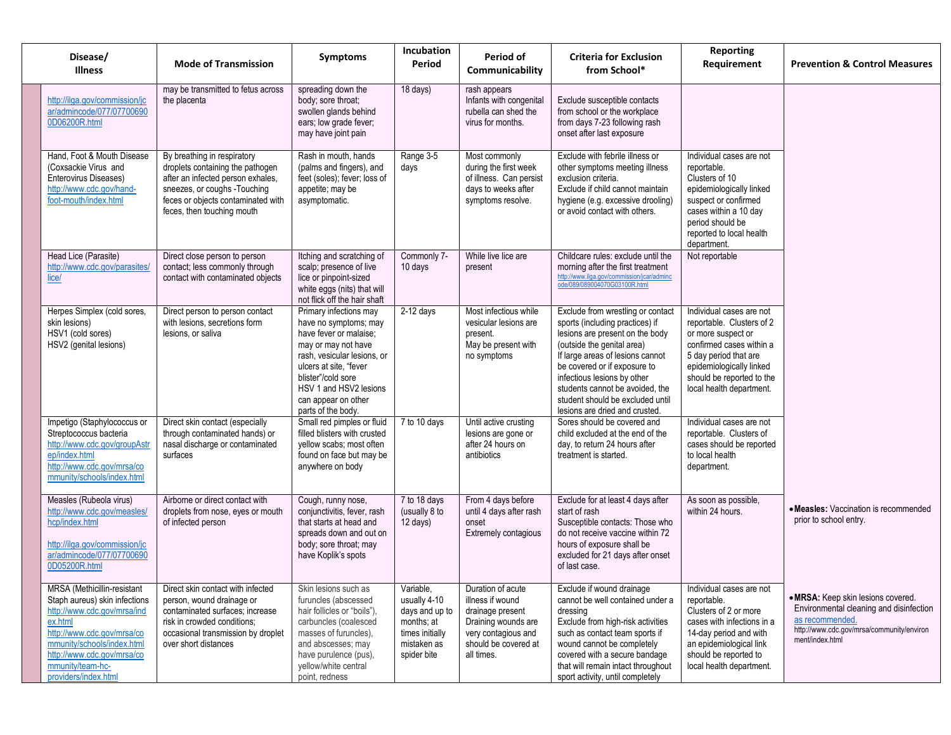| Disease/<br>Illness                                                                                                                                                                                                                          | <b>Mode of Transmission</b>                                                                                                                                                                              | <b>Symptoms</b>                                                                                                                                                                                                                                        | <b>Incubation</b><br>Period                                                                                | Period of<br>Communicability                                                                                                                  | <b>Criteria for Exclusion</b><br>from School*                                                                                                                                                                                                                                                                                                     | <b>Reporting</b><br>Requirement                                                                                                                                                                                       | <b>Prevention &amp; Control Measures</b>                                                                                                                         |
|----------------------------------------------------------------------------------------------------------------------------------------------------------------------------------------------------------------------------------------------|----------------------------------------------------------------------------------------------------------------------------------------------------------------------------------------------------------|--------------------------------------------------------------------------------------------------------------------------------------------------------------------------------------------------------------------------------------------------------|------------------------------------------------------------------------------------------------------------|-----------------------------------------------------------------------------------------------------------------------------------------------|---------------------------------------------------------------------------------------------------------------------------------------------------------------------------------------------------------------------------------------------------------------------------------------------------------------------------------------------------|-----------------------------------------------------------------------------------------------------------------------------------------------------------------------------------------------------------------------|------------------------------------------------------------------------------------------------------------------------------------------------------------------|
| http://ilga.gov/commission/jc<br>ar/admincode/077/07700690<br>0D06200R.html                                                                                                                                                                  | may be transmitted to fetus across<br>the placenta                                                                                                                                                       | spreading down the<br>body; sore throat;<br>swollen glands behind<br>ears; low grade fever;<br>may have joint pain                                                                                                                                     | 18 days)                                                                                                   | rash appears<br>Infants with congenital<br>rubella can shed the<br>virus for months.                                                          | Exclude susceptible contacts<br>from school or the workplace<br>from days 7-23 following rash<br>onset after last exposure                                                                                                                                                                                                                        |                                                                                                                                                                                                                       |                                                                                                                                                                  |
| Hand, Foot & Mouth Disease<br>(Coxsackie Virus and<br>Enterovirus Diseases)<br>http://www.cdc.gov/hand-<br>foot-mouth/index.html                                                                                                             | By breathing in respiratory<br>droplets containing the pathogen<br>after an infected person exhales,<br>sneezes, or coughs -Touching<br>feces or objects contaminated with<br>feces, then touching mouth | Rash in mouth, hands<br>(palms and fingers), and<br>feet (soles); fever; loss of<br>appetite; may be<br>asymptomatic.                                                                                                                                  | Range 3-5<br>days                                                                                          | Most commonly<br>during the first week<br>of illness. Can persist<br>days to weeks after<br>symptoms resolve.                                 | Exclude with febrile illness or<br>other symptoms meeting illness<br>exclusion criteria.<br>Exclude if child cannot maintain<br>hygiene (e.g. excessive drooling)<br>or avoid contact with others.                                                                                                                                                | Individual cases are not<br>reportable.<br>Clusters of 10<br>epidemiologically linked<br>suspect or confirmed<br>cases within a 10 day<br>period should be<br>reported to local health<br>department.                 |                                                                                                                                                                  |
| Head Lice (Parasite)<br>http://www.cdc.gov/parasites/<br>lice/                                                                                                                                                                               | Direct close person to person<br>contact; less commonly through<br>contact with contaminated objects                                                                                                     | Itching and scratching of<br>scalp; presence of live<br>lice or pinpoint-sized<br>white eggs (nits) that will<br>not flick off the hair shaft                                                                                                          | Commonly 7-<br>10 days                                                                                     | While live lice are<br>present                                                                                                                | Childcare rules: exclude until the<br>morning after the first treatment<br>http://www.ilga.gov/commission/jcar/adminc<br>ode/089/089004070G03100R.html                                                                                                                                                                                            | Not reportable                                                                                                                                                                                                        |                                                                                                                                                                  |
| Herpes Simplex (cold sores,<br>skin lesions)<br>HSV1 (cold sores)<br>HSV2 (genital lesions)                                                                                                                                                  | Direct person to person contact<br>with lesions, secretions form<br>lesions, or saliva                                                                                                                   | Primary infections may<br>have no symptoms; may<br>have fever or malaise;<br>may or may not have<br>rash, vesicular lesions, or<br>ulcers at site. "fever<br>blister"/cold sore<br>HSV 1 and HSV2 lesions<br>can appear on other<br>parts of the body. | $2-12$ days                                                                                                | Most infectious while<br>vesicular lesions are<br>present.<br>May be present with<br>no symptoms                                              | Exclude from wrestling or contact<br>sports (including practices) if<br>lesions are present on the body<br>(outside the genital area)<br>If large areas of lesions cannot<br>be covered or if exposure to<br>infectious lesions by other<br>students cannot be avoided, the<br>student should be excluded until<br>lesions are dried and crusted. | Individual cases are not<br>reportable. Clusters of 2<br>or more suspect or<br>confirmed cases within a<br>5 day period that are<br>epidemiologically linked<br>should be reported to the<br>local health department. |                                                                                                                                                                  |
| Impetigo (Staphylococcus or<br>Streptococcus bacteria<br>http://www.cdc.gov/groupAstr<br>ep/index.html<br>http://www.cdc.gov/mrsa/co<br>mmunity/schools/index.html                                                                           | Direct skin contact (especially<br>through contaminated hands) or<br>nasal discharge or contaminated<br>surfaces                                                                                         | Small red pimples or fluid<br>filled blisters with crusted<br>yellow scabs; most often<br>found on face but may be<br>anywhere on body                                                                                                                 | 7 to 10 days                                                                                               | Until active crusting<br>lesions are gone or<br>after 24 hours on<br>antibiotics                                                              | Sores should be covered and<br>child excluded at the end of the<br>day, to return 24 hours after<br>treatment is started.                                                                                                                                                                                                                         | Individual cases are not<br>reportable. Clusters of<br>cases should be reported<br>to local health<br>department.                                                                                                     |                                                                                                                                                                  |
| Measles (Rubeola virus)<br>http://www.cdc.gov/measles/<br>hcp/index.html<br>http://ilga.gov/commission/jc<br>ar/admincode/077/07700690<br>0D05200R.html                                                                                      | Airborne or direct contact with<br>droplets from nose, eyes or mouth<br>of infected person                                                                                                               | Cough, runny nose,<br>conjunctivitis, fever, rash<br>that starts at head and<br>spreads down and out on<br>body; sore throat; may<br>have Koplik's spots                                                                                               | 7 to 18 days<br>(usually 8 to<br>$12 \text{ days}$                                                         | From 4 days before<br>until 4 days after rash<br>onset<br>Extremely contagious                                                                | Exclude for at least 4 days after<br>start of rash<br>Susceptible contacts: Those who<br>do not receive vaccine within 72<br>hours of exposure shall be<br>excluded for 21 days after onset<br>of last case.                                                                                                                                      | As soon as possible,<br>within 24 hours.                                                                                                                                                                              | • Measles: Vaccination is recommended<br>prior to school entry.                                                                                                  |
| MRSA (Methicillin-resistant<br>Staph aureus) skin infections<br>http://www.cdc.gov/mrsa/ind<br>ex.html<br>http://www.cdc.gov/mrsa/co<br>mmunity/schools/index.html<br>http://www.cdc.gov/mrsa/co<br>mmunity/team-hc-<br>providers/index.html | Direct skin contact with infected<br>person, wound drainage or<br>contaminated surfaces; increase<br>risk in crowded conditions;<br>occasional transmission by droplet<br>over short distances           | Skin lesions such as<br>furuncles (abscessed<br>hair follicles or "boils"),<br>carbuncles (coalesced<br>masses of furuncles),<br>and abscesses; may<br>have purulence (pus),<br>yellow/white central<br>point, redness                                 | Variable,<br>usually 4-10<br>days and up to<br>months; at<br>times initially<br>mistaken as<br>spider bite | Duration of acute<br>illness if wound<br>drainage present<br>Draining wounds are<br>very contagious and<br>should be covered at<br>all times. | Exclude if wound drainage<br>cannot be well contained under a<br>dressing<br>Exclude from high-risk activities<br>such as contact team sports if<br>wound cannot be completely<br>covered with a secure bandage<br>that will remain intact throughout<br>sport activity, until completely                                                         | Individual cases are not<br>reportable.<br>Clusters of 2 or more<br>cases with infections in a<br>14-day period and with<br>an epidemiological link<br>should be reported to<br>local health department.              | • MRSA: Keep skin lesions covered.<br>Environmental cleaning and disinfection<br>as recommended.<br>http://www.cdc.gov/mrsa/community/environ<br>ment/index.html |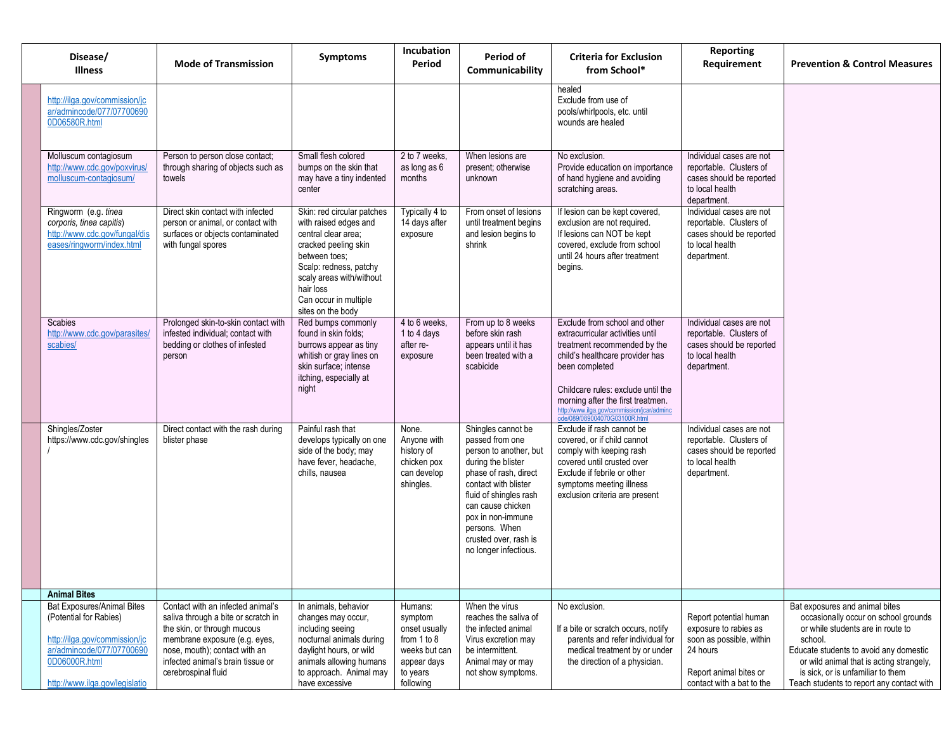| Disease/<br><b>Illness</b>                                                                                                                                                   | <b>Mode of Transmission</b>                                                                                                                                                                                                           | <b>Symptoms</b>                                                                                                                                                                                                                      | Incubation<br>Period                                                                                        | Period of<br>Communicability                                                                                                                                                                                                                                                  | <b>Criteria for Exclusion</b><br>from School*                                                                                                                                                                                                                                                                    | <b>Reporting</b><br>Requirement                                                                                                                | <b>Prevention &amp; Control Measures</b>                                                                                                                                                                                                                                                       |
|------------------------------------------------------------------------------------------------------------------------------------------------------------------------------|---------------------------------------------------------------------------------------------------------------------------------------------------------------------------------------------------------------------------------------|--------------------------------------------------------------------------------------------------------------------------------------------------------------------------------------------------------------------------------------|-------------------------------------------------------------------------------------------------------------|-------------------------------------------------------------------------------------------------------------------------------------------------------------------------------------------------------------------------------------------------------------------------------|------------------------------------------------------------------------------------------------------------------------------------------------------------------------------------------------------------------------------------------------------------------------------------------------------------------|------------------------------------------------------------------------------------------------------------------------------------------------|------------------------------------------------------------------------------------------------------------------------------------------------------------------------------------------------------------------------------------------------------------------------------------------------|
| http://ilga.gov/commission/jc<br>ar/admincode/077/07700690<br>0D06580R.html                                                                                                  |                                                                                                                                                                                                                                       |                                                                                                                                                                                                                                      |                                                                                                             |                                                                                                                                                                                                                                                                               | healed<br>Exclude from use of<br>pools/whirlpools, etc. until<br>wounds are healed                                                                                                                                                                                                                               |                                                                                                                                                |                                                                                                                                                                                                                                                                                                |
| Molluscum contagiosum<br>http://www.cdc.gov/poxvirus/<br>molluscum-contagiosum/                                                                                              | Person to person close contact;<br>through sharing of objects such as<br>towels                                                                                                                                                       | Small flesh colored<br>bumps on the skin that<br>may have a tiny indented<br>center                                                                                                                                                  | 2 to 7 weeks.<br>as long as 6<br>months                                                                     | When lesions are<br>present; otherwise<br>unknown                                                                                                                                                                                                                             | No exclusion.<br>Provide education on importance<br>of hand hygiene and avoiding<br>scratching areas.                                                                                                                                                                                                            | Individual cases are not<br>reportable. Clusters of<br>cases should be reported<br>to local health<br>department.                              |                                                                                                                                                                                                                                                                                                |
| Ringworm (e.g. tinea<br>corporis, tinea capitis)<br>http://www.cdc.gov/fungal/dis<br>eases/ringworm/index.html                                                               | Direct skin contact with infected<br>person or animal, or contact with<br>surfaces or objects contaminated<br>with fungal spores                                                                                                      | Skin: red circular patches<br>with raised edges and<br>central clear area;<br>cracked peeling skin<br>between toes:<br>Scalp: redness, patchy<br>scaly areas with/without<br>hair loss<br>Can occur in multiple<br>sites on the body | Typically 4 to<br>14 days after<br>exposure                                                                 | From onset of lesions<br>until treatment begins<br>and lesion begins to<br>shrink                                                                                                                                                                                             | If lesion can be kept covered,<br>exclusion are not required.<br>If lesions can NOT be kept<br>covered, exclude from school<br>until 24 hours after treatment<br>begins.                                                                                                                                         | Individual cases are not<br>reportable. Clusters of<br>cases should be reported<br>to local health<br>department.                              |                                                                                                                                                                                                                                                                                                |
| Scabies<br>http://www.cdc.gov/parasites/<br>scabies/                                                                                                                         | Prolonged skin-to-skin contact with<br>infested individual; contact with<br>bedding or clothes of infested<br>person                                                                                                                  | Red bumps commonly<br>found in skin folds:<br>burrows appear as tiny<br>whitish or gray lines on<br>skin surface; intense<br>itching, especially at<br>night                                                                         | 4 to 6 weeks.<br>1 to 4 days<br>after re-<br>exposure                                                       | From up to 8 weeks<br>before skin rash<br>appears until it has<br>been treated with a<br>scabicide                                                                                                                                                                            | Exclude from school and other<br>extracurricular activities until<br>treatment recommended by the<br>child's healthcare provider has<br>been completed<br>Childcare rules: exclude until the<br>morning after the first treatmen.<br>http://www.ilga.gov/commission/jcar/adminc<br>ode/089/089004070G03100R.html | Individual cases are not<br>reportable. Clusters of<br>cases should be reported<br>to local health<br>department.                              |                                                                                                                                                                                                                                                                                                |
| Shingles/Zoster<br>https://www.cdc.gov/shingles                                                                                                                              | Direct contact with the rash during<br>blister phase                                                                                                                                                                                  | Painful rash that<br>develops typically on one<br>side of the body; may<br>have fever, headache,<br>chills, nausea                                                                                                                   | None.<br>Anyone with<br>history of<br>chicken pox<br>can develop<br>shingles.                               | Shingles cannot be<br>passed from one<br>person to another, but<br>during the blister<br>phase of rash, direct<br>contact with blister<br>fluid of shingles rash<br>can cause chicken<br>pox in non-immune<br>persons. When<br>crusted over, rash is<br>no longer infectious. | Exclude if rash cannot be<br>covered, or if child cannot<br>comply with keeping rash<br>covered until crusted over<br>Exclude if febrile or other<br>symptoms meeting illness<br>exclusion criteria are present                                                                                                  | Individual cases are not<br>reportable. Clusters of<br>cases should be reported<br>to local health<br>department.                              |                                                                                                                                                                                                                                                                                                |
| <b>Animal Bites</b>                                                                                                                                                          |                                                                                                                                                                                                                                       |                                                                                                                                                                                                                                      |                                                                                                             |                                                                                                                                                                                                                                                                               |                                                                                                                                                                                                                                                                                                                  |                                                                                                                                                |                                                                                                                                                                                                                                                                                                |
| <b>Bat Exposures/Animal Bites</b><br>(Potential for Rabies)<br>http://ilga.gov/commission/jc<br>ar/admincode/077/07700690<br>0D06000R.html<br>http://www.ilga.gov/legislatio | Contact with an infected animal's<br>saliva through a bite or scratch in<br>the skin, or through mucous<br>membrane exposure (e.g. eyes,<br>nose, mouth); contact with an<br>infected animal's brain tissue or<br>cerebrospinal fluid | In animals, behavior<br>changes may occur,<br>including seeing<br>nocturnal animals during<br>daylight hours, or wild<br>animals allowing humans<br>to approach. Animal may<br>have excessive                                        | Humans:<br>symptom<br>onset usually<br>from 1 to 8<br>weeks but can<br>appear days<br>to years<br>following | When the virus<br>reaches the saliva of<br>the infected animal<br>Virus excretion may<br>be intermittent.<br>Animal may or may<br>not show symptoms.                                                                                                                          | No exclusion.<br>If a bite or scratch occurs, notify<br>parents and refer individual for<br>medical treatment by or under<br>the direction of a physician.                                                                                                                                                       | Report potential human<br>exposure to rabies as<br>soon as possible, within<br>24 hours<br>Report animal bites or<br>contact with a bat to the | Bat exposures and animal bites<br>occasionally occur on school grounds<br>or while students are in route to<br>school.<br>Educate students to avoid any domestic<br>or wild animal that is acting strangely,<br>is sick, or is unfamiliar to them<br>Teach students to report any contact with |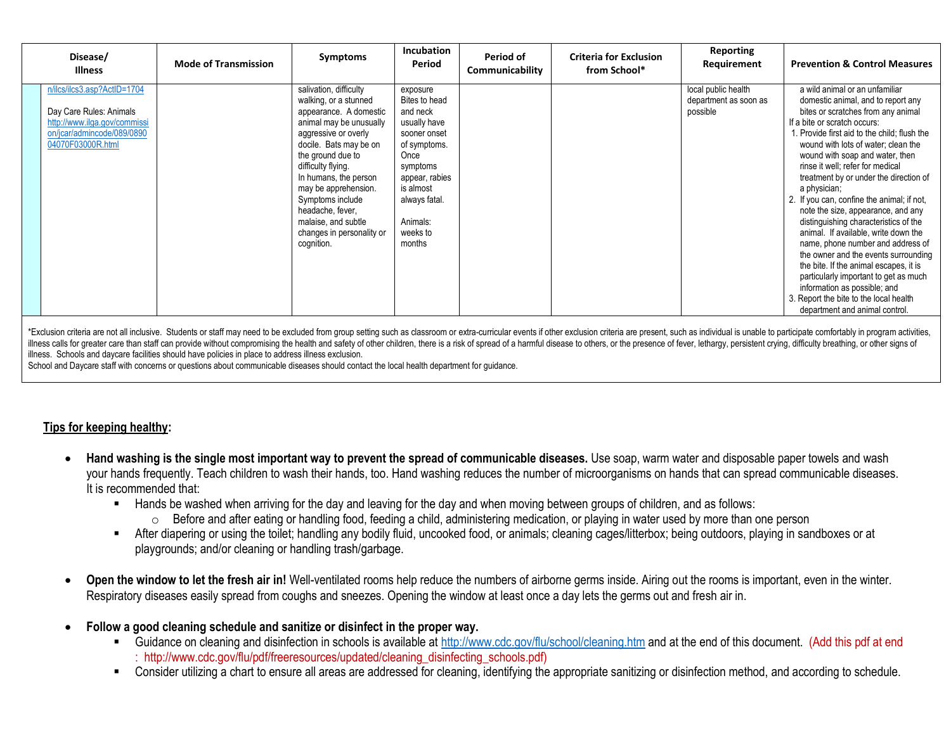| Disease/<br><b>Illness</b>                                                                                                                | <b>Mode of Transmission</b> | <b>Symptoms</b>                                                                                                                                                                                                                                                                                                                                              | <b>Incubation</b><br>Period                                                                                                                                                                 | Period of<br>Communicability | <b>Criteria for Exclusion</b><br>from School* | <b>Reporting</b><br>Requirement                          | <b>Prevention &amp; Control Measures</b>                                                                                                                                                                                                                                                                                                                                                                                                                                                                                                                                                                                                                                                                                                                                                                           |
|-------------------------------------------------------------------------------------------------------------------------------------------|-----------------------------|--------------------------------------------------------------------------------------------------------------------------------------------------------------------------------------------------------------------------------------------------------------------------------------------------------------------------------------------------------------|---------------------------------------------------------------------------------------------------------------------------------------------------------------------------------------------|------------------------------|-----------------------------------------------|----------------------------------------------------------|--------------------------------------------------------------------------------------------------------------------------------------------------------------------------------------------------------------------------------------------------------------------------------------------------------------------------------------------------------------------------------------------------------------------------------------------------------------------------------------------------------------------------------------------------------------------------------------------------------------------------------------------------------------------------------------------------------------------------------------------------------------------------------------------------------------------|
| n/ilcs/ilcs3.asp?ActID=1704<br>Day Care Rules: Animals<br>http://www.ilga.gov/commissi<br>on/jcar/admincode/089/0890<br>04070F03000R.html |                             | salivation, difficulty<br>walking, or a stunned<br>appearance. A domestic<br>animal may be unusually<br>aggressive or overly<br>docile. Bats may be on<br>the ground due to<br>difficulty flying.<br>In humans, the person<br>may be apprehension.<br>Symptoms include<br>headache, fever,<br>malaise, and subtle<br>changes in personality or<br>cognition. | exposure<br>Bites to head<br>and neck<br>usually have<br>sooner onset<br>of symptoms.<br>Once<br>symptoms<br>appear, rabies<br>is almost<br>always fatal.<br>Animals:<br>weeks to<br>months |                              |                                               | local public health<br>department as soon as<br>possible | a wild animal or an unfamiliar<br>domestic animal, and to report any<br>bites or scratches from any animal<br>If a bite or scratch occurs:<br>. Provide first aid to the child: flush the<br>wound with lots of water: clean the<br>wound with soap and water, then<br>rinse it well; refer for medical<br>treatment by or under the direction of<br>a physician;<br>2. If you can, confine the animal; if not,<br>note the size, appearance, and any<br>distinguishing characteristics of the<br>animal. If available, write down the<br>name, phone number and address of<br>the owner and the events surrounding<br>the bite. If the animal escapes, it is<br>particularly important to get as much<br>information as possible; and<br>3. Report the bite to the local health<br>department and animal control. |

\*Exclusion criteria are not all inclusive. Students or staff may need to be excluded from group setting such as classroom or extra-curricular events if other exclusion criteria are present, such as individual is unable to illness calls for greater care than staff can provide without compromising the health and safety of other children, there is a risk of spread of a harmful disease to others, or the presence of fever, lethargy, persistent c illness. Schools and daycare facilities should have policies in place to address illness exclusion.

School and Daycare staff with concerns or questions about communicable diseases should contact the local health department for guidance.

## **Tips for keeping healthy:**

- **Hand washing is the single most important way to prevent the spread of communicable diseases.** Use soap, warm water and disposable paper towels and wash your hands frequently. Teach children to wash their hands, too. Hand washing reduces the number of microorganisms on hands that can spread communicable diseases. It is recommended that:
	- Hands be washed when arriving for the day and leaving for the day and when moving between groups of children, and as follows:
		- o Before and after eating or handling food, feeding a child, administering medication, or playing in water used by more than one person
	- After diapering or using the toilet; handling any bodily fluid, uncooked food, or animals; cleaning cages/litterbox; being outdoors, playing in sandboxes or at playgrounds; and/or cleaning or handling trash/garbage.
- **Open the window to let the fresh air in!** Well-ventilated rooms help reduce the numbers of airborne germs inside. Airing out the rooms is important, even in the winter. Respiratory diseases easily spread from coughs and sneezes. Opening the window at least once a day lets the germs out and fresh air in.
- **Follow a good cleaning schedule and sanitize or disinfect in the proper way.** 
	- Guidance on cleaning and disinfection in schools is available at<http://www.cdc.gov/flu/school/cleaning.htm> and at the end of this document. (Add this pdf at end : http://www.cdc.gov/flu/pdf/freeresources/updated/cleaning\_disinfecting\_schools.pdf)
	- Consider utilizing a chart to ensure all areas are addressed for cleaning, identifying the appropriate sanitizing or disinfection method, and according to schedule.